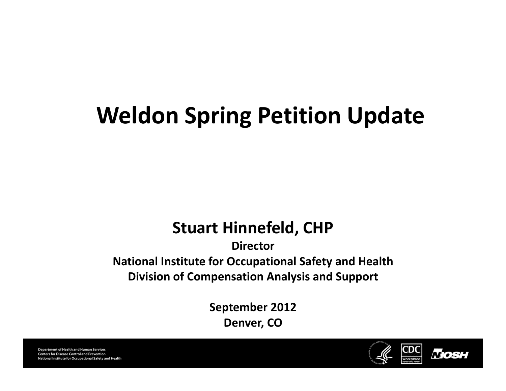# **Weldon Spring Petition Update**

#### **Stuart Hinnefeld, CHP**

#### **DirectorNational Institute for Occupational Safety and Health Division of Compensation Analysis and Support**

**September 2012 Denver, CO**



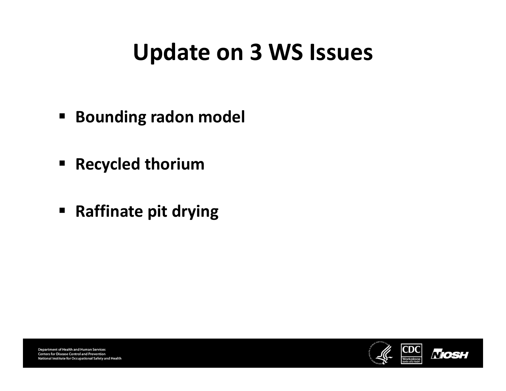#### **Update on 3 WS Issues**

- $\blacksquare$ **Bounding radon model**
- **Recycled thorium**
- **Raffinate pit drying**



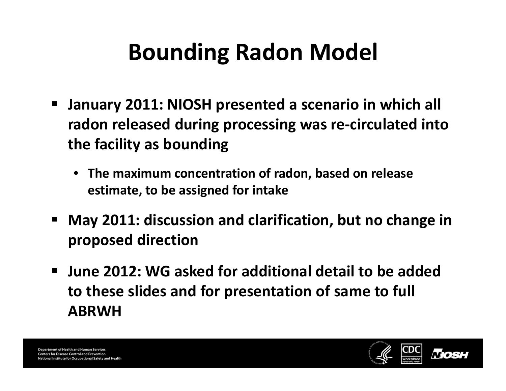# **Bounding Radon Model**

- $\blacksquare$  **January 2011: NIOSH presented <sup>a</sup> scenario in which all radon released during processing was re‐circulated into the facility as bounding**
	- **The maximum concentration of radon, based on release estimate, to be assigned for intake**
- **May 2011: discussion and clarification, but no change in proposed direction**
- $\blacksquare$  **June 2012: WG asked for additional detail to be added to these slides and for presentation of same to full ABRWH**

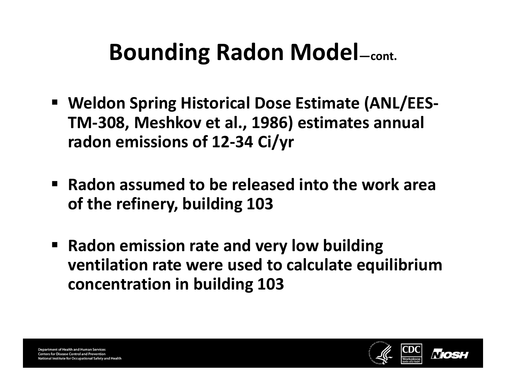- **Weldon Spring Historical Dose Estimate (ANL/EES‐ TM‐308, Meshkov et al., 1986) estimates annual radon emissions of 12‐34 Ci/yr**
- **Radon assumed to be released into the work area of the refinery, building 103**
- **Radon emission rate and very low building ventilation rate were used to calculate equilibrium concentration in building 103**

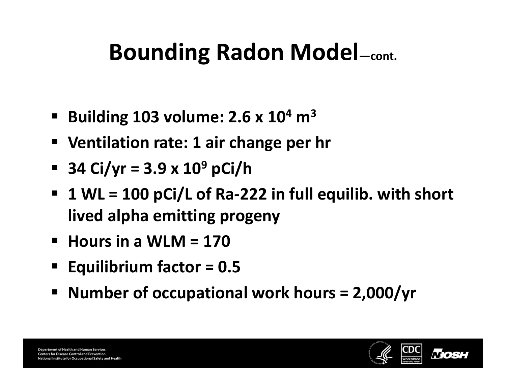- **Building 103 volume: 2.6 <sup>x</sup> 10<sup>4</sup> <sup>m</sup><sup>3</sup>**
- **Ventilation rate: 1 air change per hr**
- **34 Ci/yr <sup>=</sup> 3.9 <sup>x</sup> 10<sup>9</sup> pCi/h**
- **1 WL <sup>=</sup> 100 pCi/L of Ra‐222 in full equilib. with short lived alpha emitting progeny**
- **Hours in a WLM <sup>=</sup> 170**
- **Equilibrium factor <sup>=</sup> 0.5**
- **Number of occupational work hours <sup>=</sup> 2,000/yr**

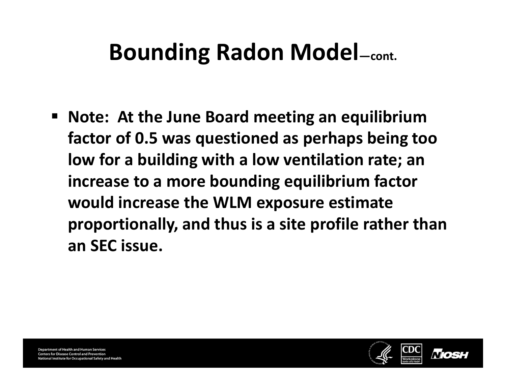**Note: At the June Board meeting an equilibrium factor of 0.5 was questioned as perhaps being too low for <sup>a</sup> building with <sup>a</sup> low ventilation rate; an increase to <sup>a</sup> more bounding equilibrium factor would increase the WLM exposure estimate proportionally, and thus is <sup>a</sup> site profile rather than an SEC issue.**

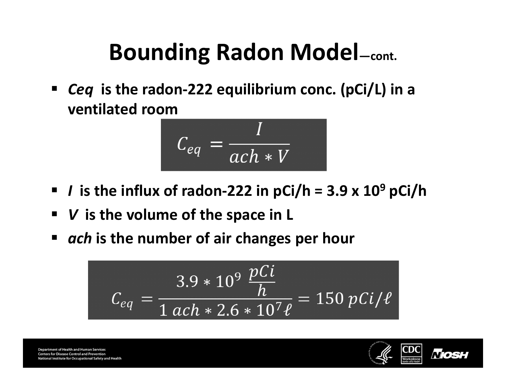$\blacksquare$  *Ceq* **is the radon‐222 equilibrium conc. (pCi/L) in <sup>a</sup> ventilated room**

$$
C_{eq} = \frac{I}{ach*V}
$$

- *I* **is the influx of radon‐222 in pCi/h <sup>=</sup> 3.9 <sup>x</sup> 10<sup>9</sup> pCi/h**
- $\blacksquare$ *V* **is the volume of the space in L**
- *ach* **is the number of air changes per hour**

$$
C_{eq} = \frac{3.9 * 10^9 \frac{pCi}{h}}{1 \text{ ach} * 2.6 * 10^7 \ell} = 150 \ pCi/\ell
$$

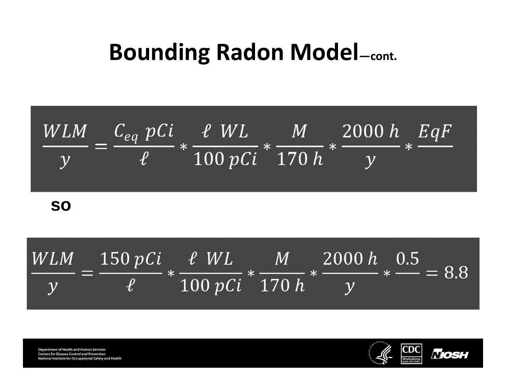

**so**



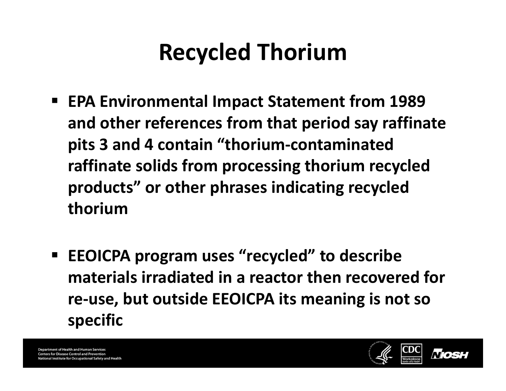# **Recycled Thorium**

- **EPA Environmental Impact Statement from 1989 and other references from that period say raffinate pits 3 and 4 contain "thorium‐contaminated raffinate solids from processing thorium recycled products" or other phrases indicating recycled thorium**
- $\blacksquare$  **EEOICPA program uses "recycled" to describe materials irradiated in <sup>a</sup> reactor then recovered for re‐use, but outside EEOICPA its meaning is not so specific**

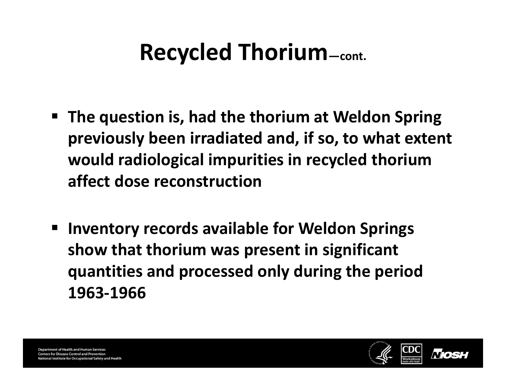# **Recycled Thorium—cont.**

- **The question is, had the thorium at Weldon Spring previously been irradiated and, if so, to what extent would radiological impurities in recycled thorium affect dose reconstruction**
- **Inventory records available for Weldon Springs show that thorium was present in significant quantities and processed only during the period 1963‐1966**

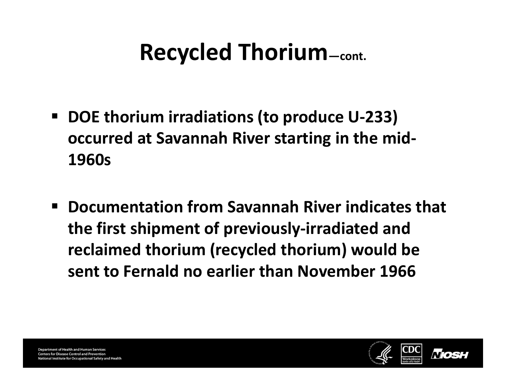## **Recycled Thorium—cont.**

- **DOE thorium irradiations (to produce U‐233) occurred at Savannah River starting in the mid‐ 1960s**
- **Documentation from Savannah River indicates that the first shipment of previously‐irradiated and reclaimed thorium (recycled thorium) would be sent to Fernald no earlier than November 1966**

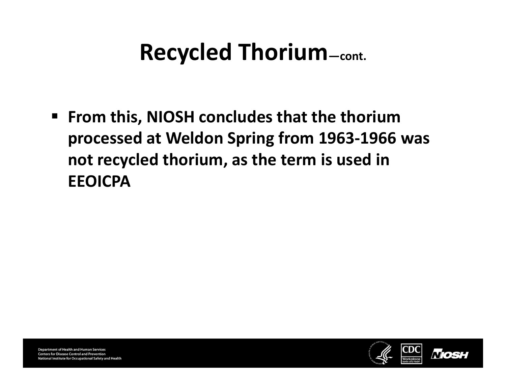#### **Recycled Thorium—cont.**

 **From this, NIOSH concludes that the thorium processed at Weldon Spring from 1963‐1966 was not recycled thorium, as the term is used in EEOICPA**

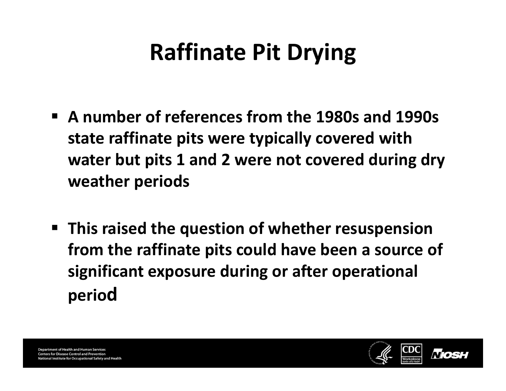# **Raffinate Pit Drying**

- **A number of references from the 1980s and 1990s state raffinate pits were typically covered with water but pits 1 and 2 were not covered during dry weather periods**
- **This raised the question of whether resuspension from the raffinate pits could have been <sup>a</sup> source of significant exposure during or after operational period**

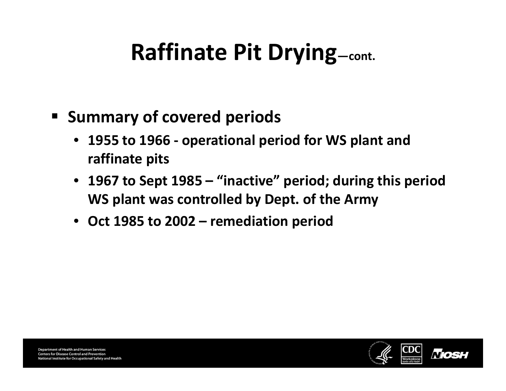- **Summary of covered periods**
	- **1955 to 1966 ‐ operational period for WS plant and raffinate pits**
	- **1967 to Sept 1985 – "inactive" period; during this period WS plant was controlled by Dept. of the Army**
	- **Oct 1985 to 2002 – remediation period**

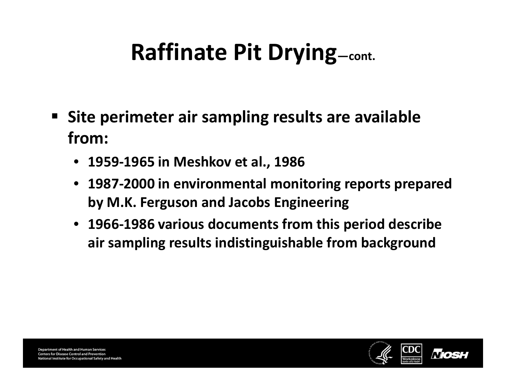- **Site perimeter air sampling results are available from:**
	- **1959‐1965 in Meshkov et al., 1986**
	- **1987‐2000 in environmental monitoring reports prepared by M.K. Ferguson and Jacobs Engineering**
	- **1966‐1986 various documents from this period describe air sampling results indistinguishable from background**

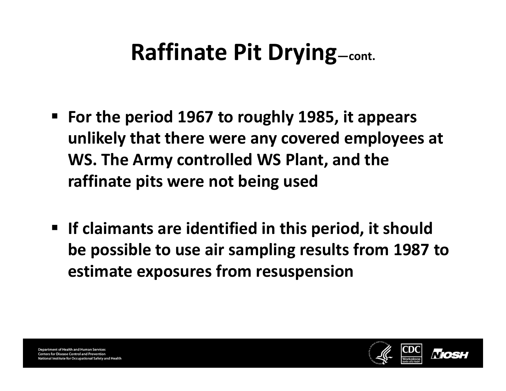- **For the period 1967 to roughly 1985, it appears unlikely that there were any covered employees at WS. The Army controlled WS Plant, and the raffinate pits were not being used**
- **If claimants are identified in this period, it should be possible to use air sampling results from 1987 to estimate exposures from resuspension**

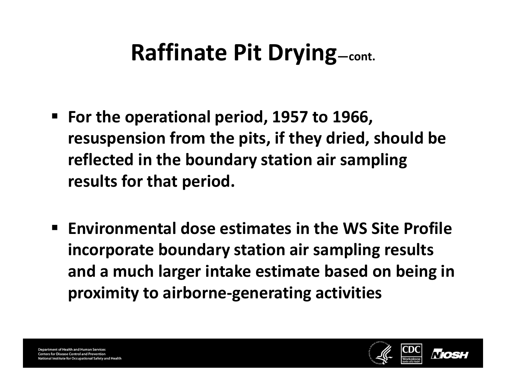- **For the operational period, 1957 to 1966, resuspension from the pits, if they dried, should be reflected in the boundary station air sampling results for that period.**
- **Environmental dose estimates in the WS Site Profile incorporate boundary station air sampling results and <sup>a</sup> much larger intake estimate based on being in proximity to airborne‐generating activities**